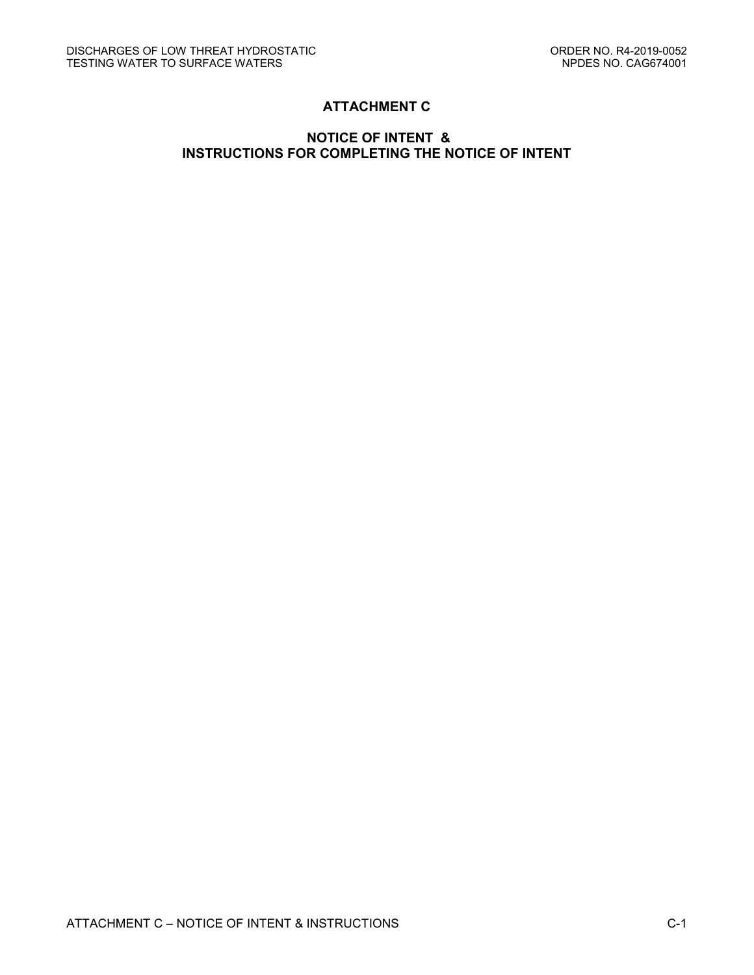# **ATTACHMENT C**

# **NOTICE OF INTENT & INSTRUCTIONS FOR COMPLETING THE NOTICE OF INTENT**

ATTACHMENT C – NOTICE OF INTENT & INSTRUCTIONS C-1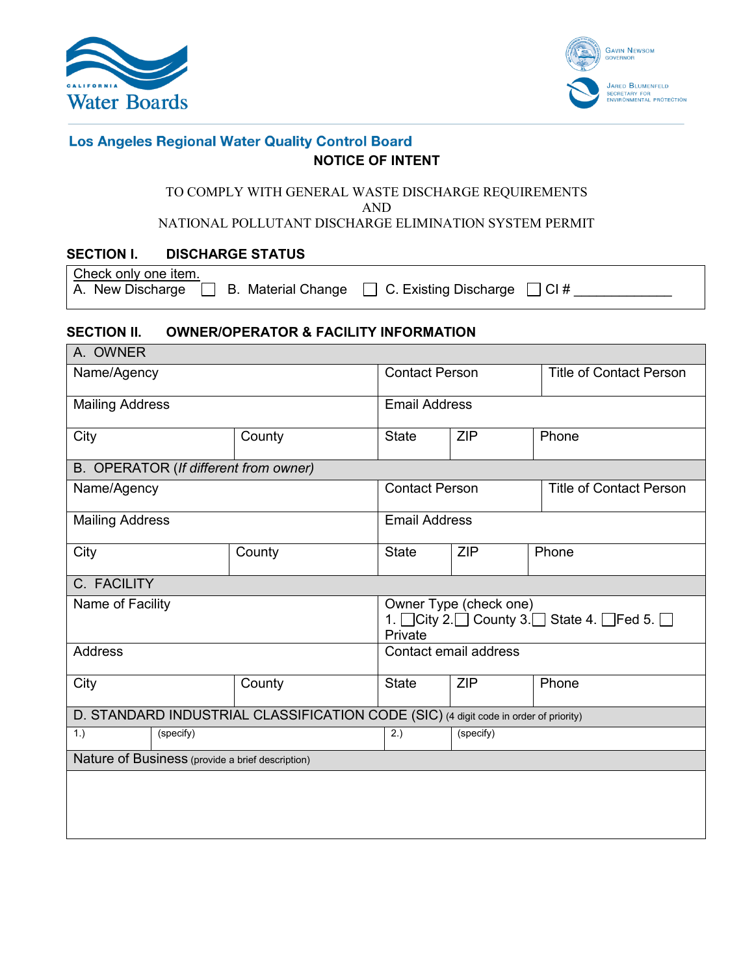



# **Los Angeles Regional Water Quality Control Board NOTICE OF INTENT**

# TO COMPLY WITH GENERAL WASTE DISCHARGE REQUIREMENTS AND

NATIONAL POLLUTANT DISCHARGE ELIMINATION SYSTEM PERMIT

# **SECTION I. DISCHARGE STATUS**

|    | Check only one item. |  |
|----|----------------------|--|
| A. | New Discharge        |  |

 $\Box$  B. Material Change  $\Box$  C. Existing Discharge  $\Box$  CI #  $\Box$ 

# **SECTION II. OWNER/OPERATOR & FACILITY INFORMATION**

| A. OWNER                                                                             |  |        |                                                                                                              |            |                                |  |  |
|--------------------------------------------------------------------------------------|--|--------|--------------------------------------------------------------------------------------------------------------|------------|--------------------------------|--|--|
| Name/Agency                                                                          |  |        | <b>Contact Person</b>                                                                                        |            | <b>Title of Contact Person</b> |  |  |
| <b>Mailing Address</b>                                                               |  |        | <b>Email Address</b>                                                                                         |            |                                |  |  |
| City                                                                                 |  | County | <b>State</b>                                                                                                 | <b>ZIP</b> | Phone                          |  |  |
| B. OPERATOR (If different from owner)                                                |  |        |                                                                                                              |            |                                |  |  |
| Name/Agency                                                                          |  |        | <b>Contact Person</b>                                                                                        |            | <b>Title of Contact Person</b> |  |  |
| <b>Mailing Address</b>                                                               |  |        | <b>Email Address</b>                                                                                         |            |                                |  |  |
| City                                                                                 |  | County | <b>State</b>                                                                                                 | <b>ZIP</b> | Phone                          |  |  |
| C. FACILITY                                                                          |  |        |                                                                                                              |            |                                |  |  |
| Name of Facility                                                                     |  |        | Owner Type (check one)<br>1. $\Box$ City 2. $\Box$ County 3. $\Box$ State 4. $\Box$ Fed 5. $\Box$<br>Private |            |                                |  |  |
| <b>Address</b>                                                                       |  |        | Contact email address                                                                                        |            |                                |  |  |
| City                                                                                 |  | County | <b>State</b>                                                                                                 | <b>ZIP</b> | Phone                          |  |  |
| D. STANDARD INDUSTRIAL CLASSIFICATION CODE (SIC) (4 digit code in order of priority) |  |        |                                                                                                              |            |                                |  |  |
| (specify)<br>1.)                                                                     |  |        | 2.)                                                                                                          | (specify)  |                                |  |  |
| Nature of Business (provide a brief description)                                     |  |        |                                                                                                              |            |                                |  |  |
|                                                                                      |  |        |                                                                                                              |            |                                |  |  |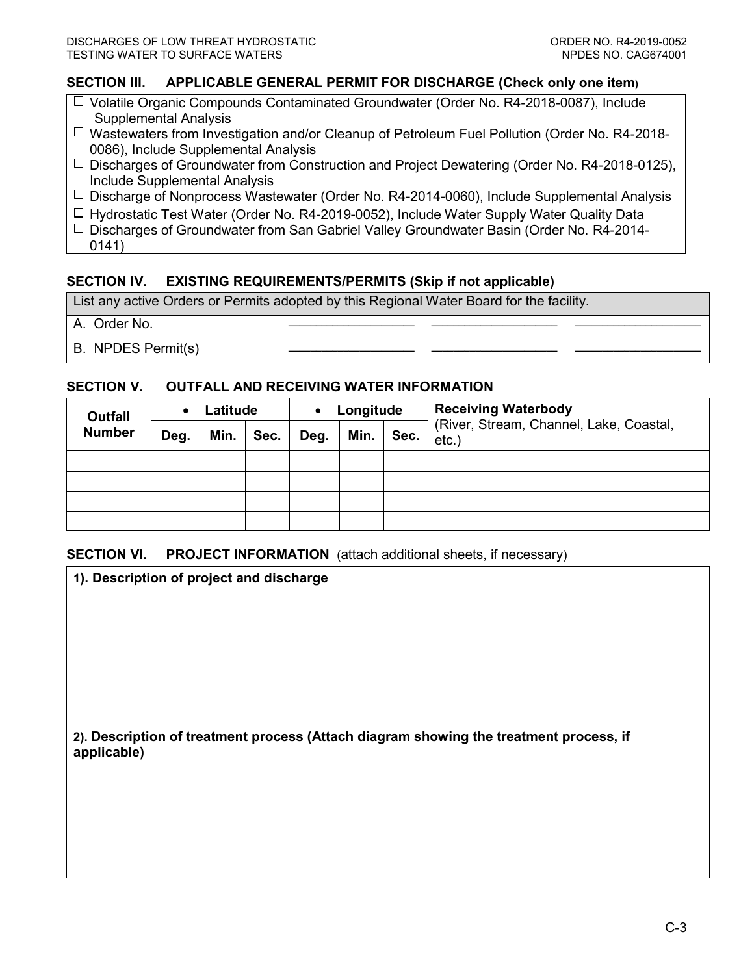## **SECTION III. APPLICABLE GENERAL PERMIT FOR DISCHARGE (Check only one item)**

- $\Box$  Volatile Organic Compounds Contaminated Groundwater (Order No. R4-2018-0087), Include Supplemental Analysis
- $\Box$  Wastewaters from Investigation and/or Cleanup of Petroleum Fuel Pollution (Order No. R4-2018-0086), Include Supplemental Analysis
- $\Box$  Discharges of Groundwater from Construction and Project Dewatering (Order No. R4-2018-0125), Include Supplemental Analysis
- $\Box$  Discharge of Nonprocess Wastewater (Order No. R4-2014-0060), Include Supplemental Analysis
- $\Box$  Hydrostatic Test Water (Order No. R4-2019-0052), Include Water Supply Water Quality Data
- $\Box$  Discharges of Groundwater from San Gabriel Valley Groundwater Basin (Order No. R4-2014-0141)

## **SECTION IV. EXISTING REQUIREMENTS/PERMITS (Skip if not applicable)**

List any active Orders or Permits adopted by this Regional Water Board for the facility.

- A. Order No. **\_\_\_\_\_\_\_\_\_\_\_\_\_\_\_\_\_\_\_\_\_\_\_ \_\_\_\_\_\_\_\_\_\_\_\_\_\_\_\_\_\_\_\_\_\_\_ \_\_\_\_\_\_\_\_\_\_\_\_\_\_\_\_\_\_\_\_\_\_\_**
- **B. NPDES Permit(s)**

#### **SECTION V. OUTFALL AND RECEIVING WATER INFORMATION**

| <b>Outfall</b> | Latitude |      |      | Longitude<br>$\bullet$ |      |      | <b>Receiving Waterbody</b>                      |
|----------------|----------|------|------|------------------------|------|------|-------------------------------------------------|
| <b>Number</b>  | Deg.     | Min. | Sec. | Deg.                   | Min. | Sec. | (River, Stream, Channel, Lake, Coastal,<br>etc. |
|                |          |      |      |                        |      |      |                                                 |
|                |          |      |      |                        |      |      |                                                 |
|                |          |      |      |                        |      |      |                                                 |
|                |          |      |      |                        |      |      |                                                 |

#### **SECTION VI.** PROJECT INFORMATION (attach additional sheets, if necessary)

**1). Description of project and discharge**

**2). Description of treatment process (Attach diagram showing the treatment process, if applicable)**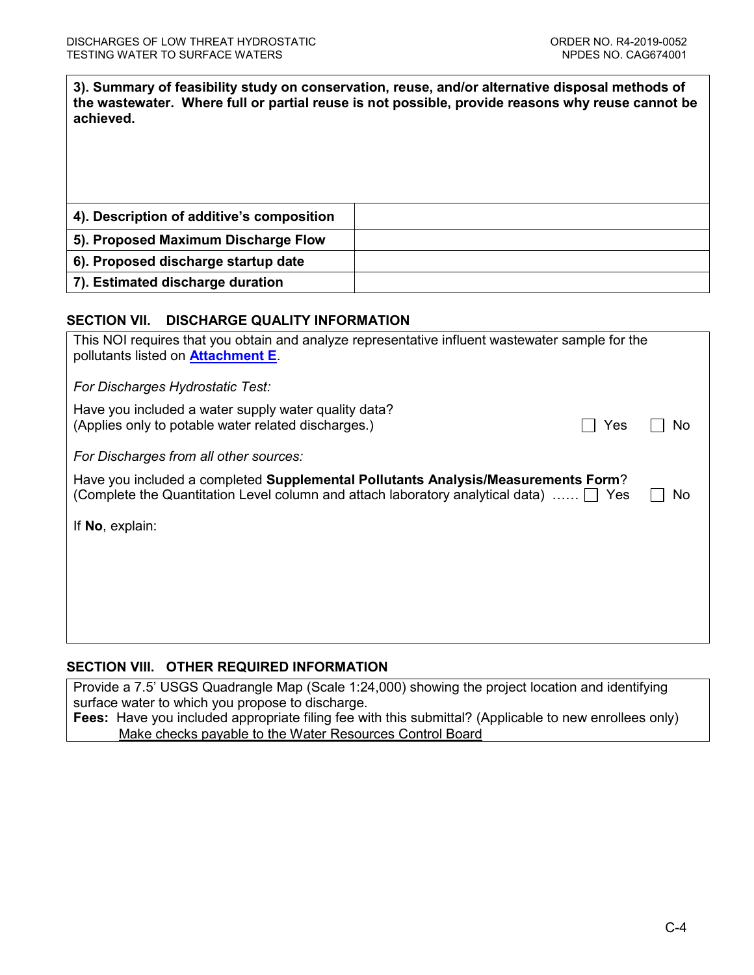**3). Summary of feasibility study on conservation, reuse, and/or alternative disposal methods of the wastewater. Where full or partial reuse is not possible, provide reasons why reuse cannot be achieved.**

| 4). Description of additive's composition |  |
|-------------------------------------------|--|
| 5). Proposed Maximum Discharge Flow       |  |
| 6). Proposed discharge startup date       |  |
| 7). Estimated discharge duration          |  |

# **SECTION VII. DISCHARGE QUALITY INFORMATION**

| This NOI requires that you obtain and analyze representative influent wastewater sample for the<br>pollutants listed on <b>Attachment E</b> .                                                 |    |  |  |  |  |
|-----------------------------------------------------------------------------------------------------------------------------------------------------------------------------------------------|----|--|--|--|--|
| For Discharges Hydrostatic Test:                                                                                                                                                              |    |  |  |  |  |
| Have you included a water supply water quality data?<br>(Applies only to potable water related discharges.)<br>Yes                                                                            | No |  |  |  |  |
| For Discharges from all other sources:                                                                                                                                                        |    |  |  |  |  |
| Have you included a completed Supplemental Pollutants Analysis/Measurements Form?<br>(Complete the Quantitation Level column and attach laboratory analytical data) $\ldots$ $\Box$ Yes<br>No |    |  |  |  |  |
| If No, explain:                                                                                                                                                                               |    |  |  |  |  |
|                                                                                                                                                                                               |    |  |  |  |  |
|                                                                                                                                                                                               |    |  |  |  |  |
|                                                                                                                                                                                               |    |  |  |  |  |
|                                                                                                                                                                                               |    |  |  |  |  |

## **SECTION VIII. OTHER REQUIRED INFORMATION**

Provide a 7.5' USGS Quadrangle Map (Scale 1:24,000) showing the project location and identifying surface water to which you propose to discharge.

**Fees:** Have you included appropriate filing fee with this submittal? (Applicable to new enrollees only) Make checks payable to the Water Resources Control Board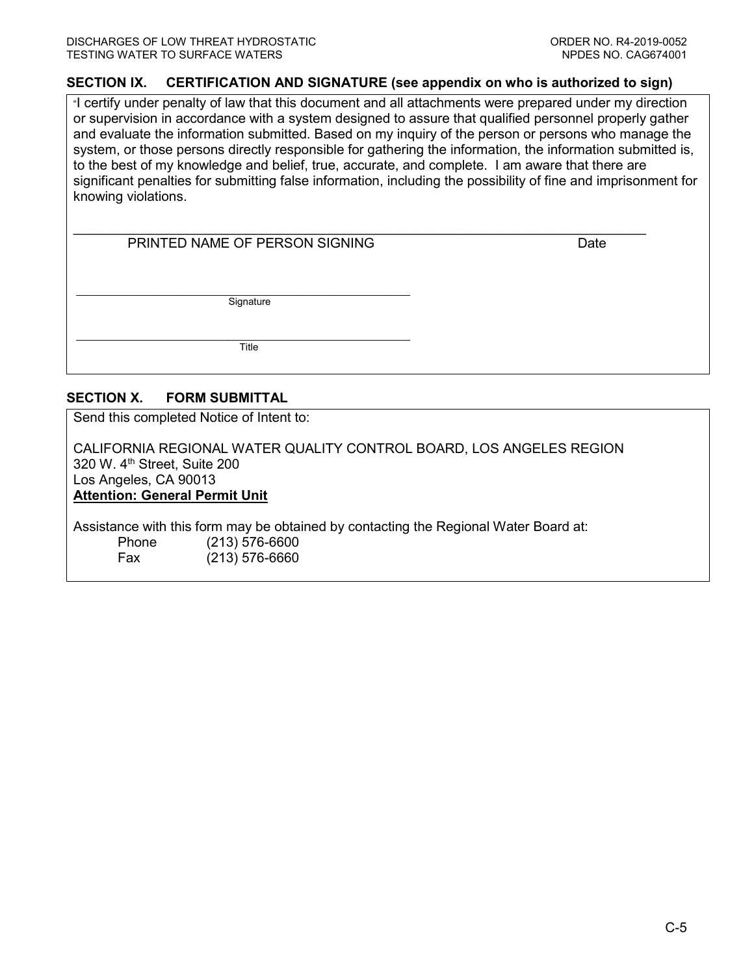#### **SECTION IX. CERTIFICATION AND SIGNATURE (see appendix on who is authorized to sign)**

"I certify under penalty of law that this document and all attachments were prepared under my direction or supervision in accordance with a system designed to assure that qualified personnel properly gather and evaluate the information submitted. Based on my inquiry of the person or persons who manage the system, or those persons directly responsible for gathering the information, the information submitted is, to the best of my knowledge and belief, true, accurate, and complete. I am aware that there are significant penalties for submitting false information, including the possibility of fine and imprisonment for knowing violations.

| PRINTED NAME OF PERSON SIGNING | Date |
|--------------------------------|------|
|                                |      |
|                                |      |
|                                |      |
|                                |      |
| Signature                      |      |
|                                |      |
|                                |      |
| Title                          |      |

#### **SECTION X. FORM SUBMITTAL**

Send this completed Notice of Intent to:

CALIFORNIA REGIONAL WATER QUALITY CONTROL BOARD, LOS ANGELES REGION 320 W. 4<sup>th</sup> Street, Suite 200 Los Angeles, CA 90013 **Attention: General Permit Unit**

Assistance with this form may be obtained by contacting the Regional Water Board at:<br>Phone (213) 576-6600 Phone (213) 576-6600<br>Fax (213) 576-6660  $(213)$  576-6660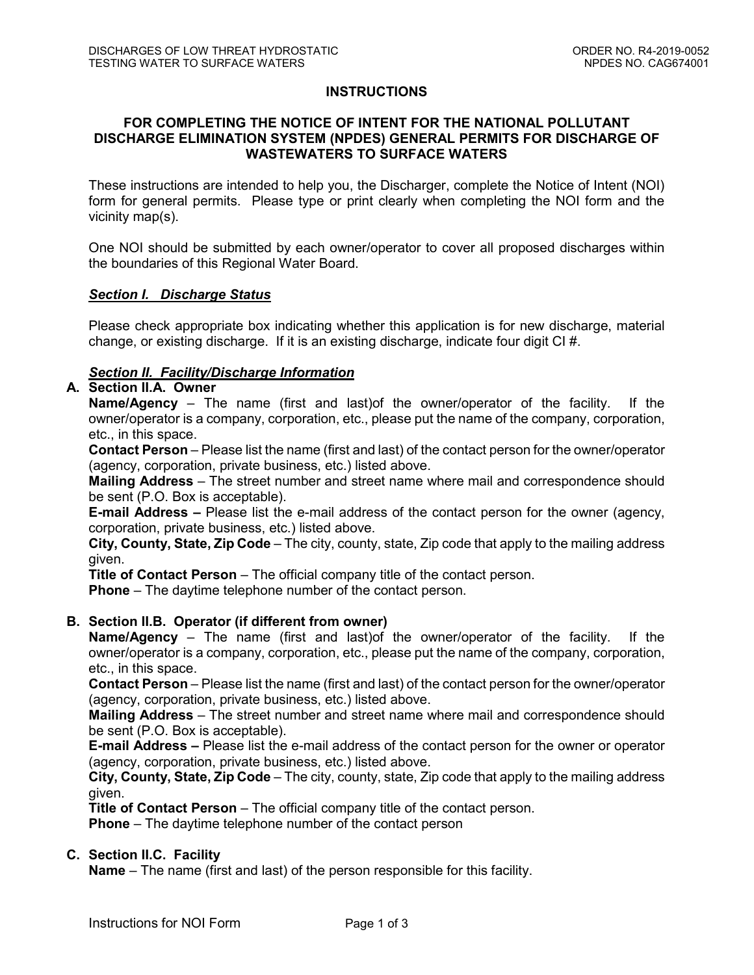### **INSTRUCTIONS**

### **FOR COMPLETING THE NOTICE OF INTENT FOR THE NATIONAL POLLUTANT DISCHARGE ELIMINATION SYSTEM (NPDES) GENERAL PERMITS FOR DISCHARGE OF WASTEWATERS TO SURFACE WATERS**

These instructions are intended to help you, the Discharger, complete the Notice of Intent (NOI) form for general permits. Please type or print clearly when completing the NOI form and the vicinity map(s).

One NOI should be submitted by each owner/operator to cover all proposed discharges within the boundaries of this Regional Water Board.

#### *Section I. Discharge Status*

Please check appropriate box indicating whether this application is for new discharge, material change, or existing discharge. If it is an existing discharge, indicate four digit CI #.

## *Section II. Facility/Discharge Information*

## **A. Section II.A. Owner**

**Name/Agency** – The name (first and last)of the owner/operator of the facility. If the owner/operator is a company, corporation, etc., please put the name of the company, corporation, etc., in this space.

**Contact Person** – Please list the name (first and last) of the contact person for the owner/operator (agency, corporation, private business, etc.) listed above.

**Mailing Address** – The street number and street name where mail and correspondence should be sent (P.O. Box is acceptable).

**E-mail Address –** Please list the e-mail address of the contact person for the owner (agency, corporation, private business, etc.) listed above.

**City, County, State, Zip Code** – The city, county, state, Zip code that apply to the mailing address given.

**Title of Contact Person** – The official company title of the contact person.

**Phone** – The daytime telephone number of the contact person.

#### **B. Section II.B. Operator (if different from owner)**

**Name/Agency** – The name (first and last)of the owner/operator of the facility. If the owner/operator is a company, corporation, etc., please put the name of the company, corporation, etc., in this space.

**Contact Person** – Please list the name (first and last) of the contact person for the owner/operator (agency, corporation, private business, etc.) listed above.

**Mailing Address** – The street number and street name where mail and correspondence should be sent (P.O. Box is acceptable).

**E-mail Address –** Please list the e-mail address of the contact person for the owner or operator (agency, corporation, private business, etc.) listed above.

**City, County, State, Zip Code** – The city, county, state, Zip code that apply to the mailing address given.

**Title of Contact Person** – The official company title of the contact person. **Phone** – The daytime telephone number of the contact person

#### **C. Section II.C. Facility**

**Name** – The name (first and last) of the person responsible for this facility.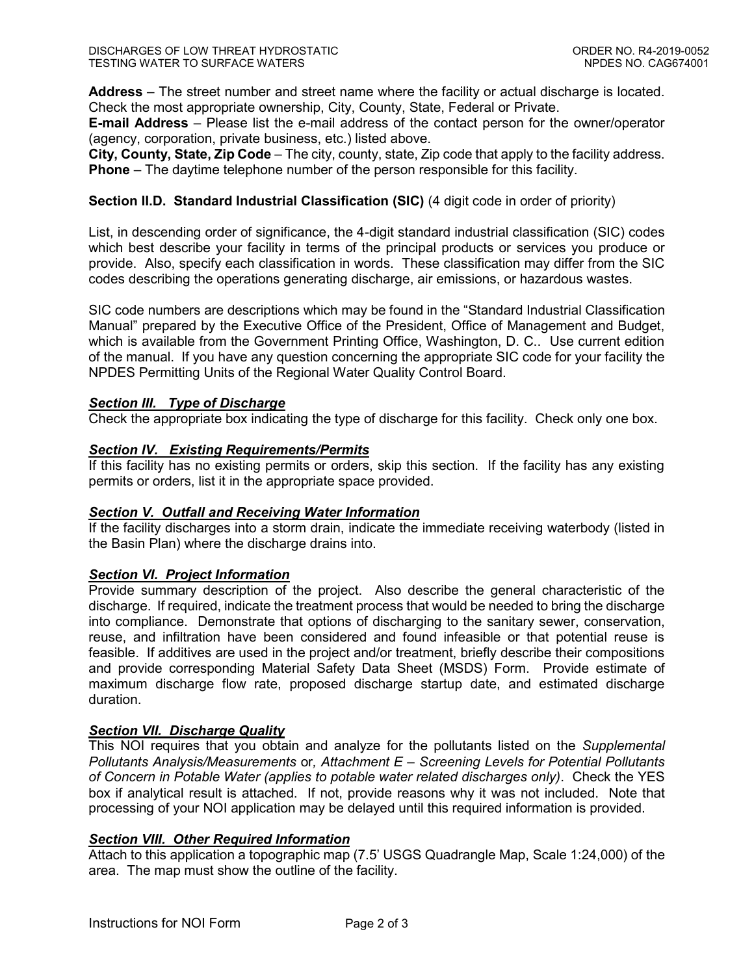**Address** – The street number and street name where the facility or actual discharge is located. Check the most appropriate ownership, City, County, State, Federal or Private.

**E-mail Address** – Please list the e-mail address of the contact person for the owner/operator (agency, corporation, private business, etc.) listed above.

**City, County, State, Zip Code** – The city, county, state, Zip code that apply to the facility address. **Phone** – The daytime telephone number of the person responsible for this facility.

### **Section II.D. Standard Industrial Classification (SIC)** (4 digit code in order of priority)

List, in descending order of significance, the 4-digit standard industrial classification (SIC) codes which best describe your facility in terms of the principal products or services you produce or provide. Also, specify each classification in words. These classification may differ from the SIC codes describing the operations generating discharge, air emissions, or hazardous wastes.

SIC code numbers are descriptions which may be found in the "Standard Industrial Classification Manual" prepared by the Executive Office of the President, Office of Management and Budget, which is available from the Government Printing Office, Washington, D. C.. Use current edition of the manual. If you have any question concerning the appropriate SIC code for your facility the NPDES Permitting Units of the Regional Water Quality Control Board.

## *Section III. Type of Discharge*

Check the appropriate box indicating the type of discharge for this facility. Check only one box.

## *Section IV. Existing Requirements/Permits*

If this facility has no existing permits or orders, skip this section. If the facility has any existing permits or orders, list it in the appropriate space provided.

#### *Section V. Outfall and Receiving Water Information*

If the facility discharges into a storm drain, indicate the immediate receiving waterbody (listed in the Basin Plan) where the discharge drains into.

#### *Section VI. Project Information*

Provide summary description of the project. Also describe the general characteristic of the discharge. If required, indicate the treatment process that would be needed to bring the discharge into compliance. Demonstrate that options of discharging to the sanitary sewer, conservation, reuse, and infiltration have been considered and found infeasible or that potential reuse is feasible. If additives are used in the project and/or treatment, briefly describe their compositions and provide corresponding Material Safety Data Sheet (MSDS) Form. Provide estimate of maximum discharge flow rate, proposed discharge startup date, and estimated discharge duration.

#### *Section VII. Discharge Quality*

This NOI requires that you obtain and analyze for the pollutants listed on the *Supplemental Pollutants Analysis/Measurements* or*, Attachment E – Screening Levels for Potential Pollutants of Concern in Potable Water (applies to potable water related discharges only)*. Check the YES box if analytical result is attached. If not, provide reasons why it was not included. Note that processing of your NOI application may be delayed until this required information is provided.

## *Section VIII. Other Required Information*

Attach to this application a topographic map (7.5' USGS Quadrangle Map, Scale 1:24,000) of the area. The map must show the outline of the facility.